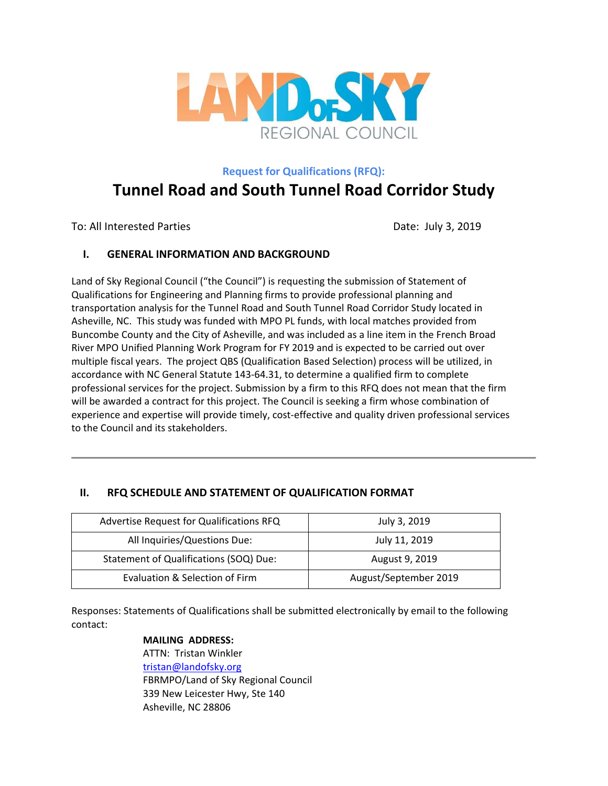

**Request for Qualifications (RFQ):**

# **Tunnel Road and South Tunnel Road Corridor Study**

To: All Interested Parties **Date: July 3, 2019** 

# **I. GENERAL INFORMATION AND BACKGROUND**

Land of Sky Regional Council ("the Council") is requesting the submission of Statement of Qualifications for Engineering and Planning firms to provide professional planning and transportation analysis for the Tunnel Road and South Tunnel Road Corridor Study located in Asheville, NC. This study was funded with MPO PL funds, with local matches provided from Buncombe County and the City of Asheville, and was included as a line item in the French Broad River MPO Unified Planning Work Program for FY 2019 and is expected to be carried out over multiple fiscal years. The project QBS (Qualification Based Selection) process will be utilized, in accordance with NC General Statute 143‐64.31, to determine a qualified firm to complete professional services for the project. Submission by a firm to this RFQ does not mean that the firm will be awarded a contract for this project. The Council is seeking a firm whose combination of experience and expertise will provide timely, cost-effective and quality driven professional services to the Council and its stakeholders.

# **II. RFQ SCHEDULE AND STATEMENT OF QUALIFICATION FORMAT**

| Advertise Request for Qualifications RFQ | July 3, 2019          |
|------------------------------------------|-----------------------|
| All Inquiries/Questions Due:             | July 11, 2019         |
| Statement of Qualifications (SOQ) Due:   | August 9, 2019        |
| Evaluation & Selection of Firm           | August/September 2019 |

Responses: Statements of Qualifications shall be submitted electronically by email to the following contact:

# **MAILING ADDRESS:** ATTN: Tristan Winkler [tristan@landofsky.org](mailto:tristan@landofsky.org) FBRMPO/Land of Sky Regional Council 339 New Leicester Hwy, Ste 140 Asheville, NC 28806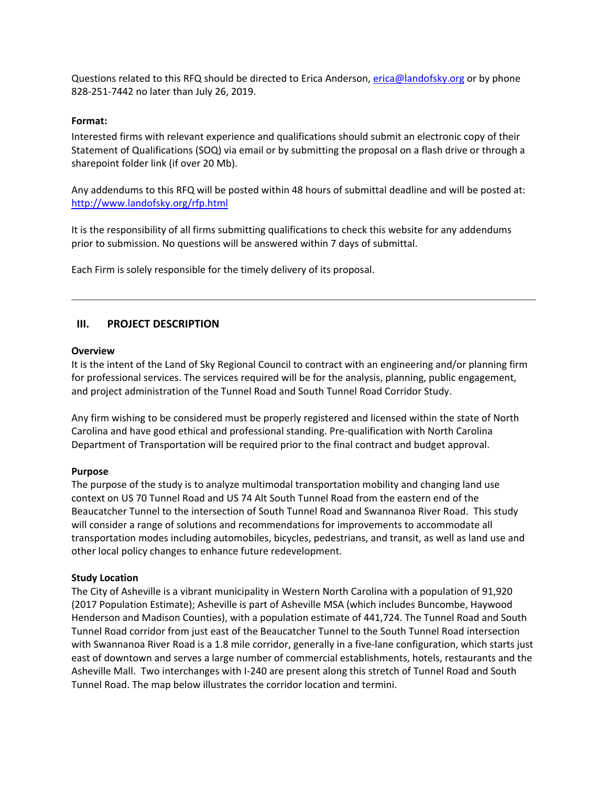Questions related to this RFQ should be directed to Erica Anderson, [erica@landofsky.org](mailto:erica@landofsky.org) or by phone 828-251-7442 no later than July 26, 2019.

## **Format:**

Interested firms with relevant experience and qualifications should submit an electronic copy of their Statement of Qualifications (SOQ) via email or by submitting the proposal on a flash drive or through a sharepoint folder link (if over 20 Mb).

Any addendums to this RFQ will be posted within 48 hours of submittal deadline and will be posted at: <http://www.landofsky.org/rfp.html>

It is the responsibility of all firms submitting qualifications to check this website for any addendums prior to submission. No questions will be answered within 7 days of submittal.

Each Firm is solely responsible for the timely delivery of its proposal.

## **III. PROJECT DESCRIPTION**

#### **Overview**

It is the intent of the Land of Sky Regional Council to contract with an engineering and/or planning firm for professional services. The services required will be for the analysis, planning, public engagement, and project administration of the Tunnel Road and South Tunnel Road Corridor Study.

Any firm wishing to be considered must be properly registered and licensed within the state of North Carolina and have good ethical and professional standing. Pre-qualification with North Carolina Department of Transportation will be required prior to the final contract and budget approval.

## **Purpose**

The purpose of the study is to analyze multimodal transportation mobility and changing land use context on US 70 Tunnel Road and US 74 Alt South Tunnel Road from the eastern end of the Beaucatcher Tunnel to the intersection of South Tunnel Road and Swannanoa River Road. This study will consider a range of solutions and recommendations for improvements to accommodate all transportation modes including automobiles, bicycles, pedestrians, and transit, as well as land use and other local policy changes to enhance future redevelopment.

## **Study Location**

The City of Asheville is a vibrant municipality in Western North Carolina with a population of 91,920 (2017 Population Estimate); Asheville is part of Asheville MSA (which includes Buncombe, Haywood Henderson and Madison Counties), with a population estimate of 441,724. The Tunnel Road and South Tunnel Road corridor from just east of the Beaucatcher Tunnel to the South Tunnel Road intersection with Swannanoa River Road is a 1.8 mile corridor, generally in a five-lane configuration, which starts just east of downtown and serves a large number of commercial establishments, hotels, restaurants and the Asheville Mall. Two interchanges with I-240 are present along this stretch of Tunnel Road and South Tunnel Road. The map below illustrates the corridor location and termini.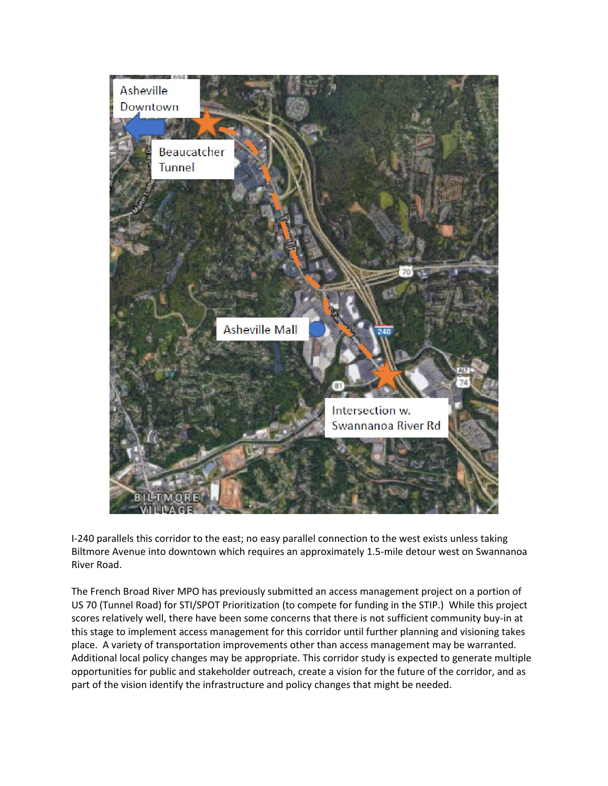

I-240 parallels this corridor to the east; no easy parallel connection to the west exists unless taking Biltmore Avenue into downtown which requires an approximately 1.5-mile detour west on Swannanoa River Road.

The French Broad River MPO has previously submitted an access management project on a portion of US 70 (Tunnel Road) for STI/SPOT Prioritization (to compete for funding in the STIP.) While this project scores relatively well, there have been some concerns that there is not sufficient community buy-in at this stage to implement access management for this corridor until further planning and visioning takes place. A variety of transportation improvements other than access management may be warranted. Additional local policy changes may be appropriate. This corridor study is expected to generate multiple opportunities for public and stakeholder outreach, create a vision for the future of the corridor, and as part of the vision identify the infrastructure and policy changes that might be needed.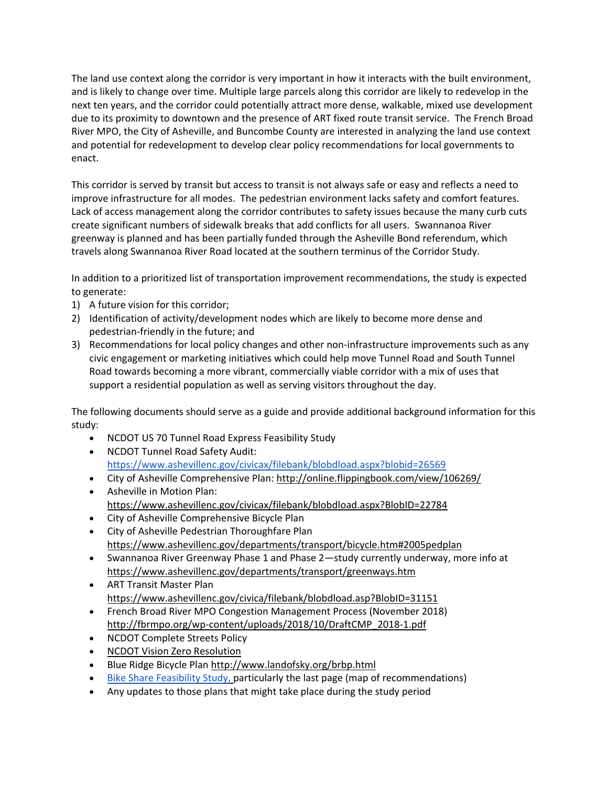The land use context along the corridor is very important in how it interacts with the built environment, and is likely to change over time. Multiple large parcels along this corridor are likely to redevelop in the next ten years, and the corridor could potentially attract more dense, walkable, mixed use development due to its proximity to downtown and the presence of ART fixed route transit service. The French Broad River MPO, the City of Asheville, and Buncombe County are interested in analyzing the land use context and potential for redevelopment to develop clear policy recommendations for local governments to enact.

This corridor is served by transit but access to transit is not always safe or easy and reflects a need to improve infrastructure for all modes. The pedestrian environment lacks safety and comfort features. Lack of access management along the corridor contributes to safety issues because the many curb cuts create significant numbers of sidewalk breaks that add conflicts for all users. Swannanoa River greenway is planned and has been partially funded through the Asheville Bond referendum, which travels along Swannanoa River Road located at the southern terminus of the Corridor Study.

In addition to a prioritized list of transportation improvement recommendations, the study is expected to generate:

- 1) A future vision for this corridor;
- 2) Identification of activity/development nodes which are likely to become more dense and pedestrian-friendly in the future; and
- 3) Recommendations for local policy changes and other non-infrastructure improvements such as any civic engagement or marketing initiatives which could help move Tunnel Road and South Tunnel Road towards becoming a more vibrant, commercially viable corridor with a mix of uses that support a residential population as well as serving visitors throughout the day.

The following documents should serve as a guide and provide additional background information for this study:

- NCDOT US 70 Tunnel Road Express Feasibility Study
- NCDOT Tunnel Road Safety Audit: <https://www.ashevillenc.gov/civicax/filebank/blobdload.aspx?blobid=26569>
- City of Asheville Comprehensive Plan[: http://online.flippingbook.com/view/106269/](http://online.flippingbook.com/view/106269/)
- Asheville in Motion Plan: <https://www.ashevillenc.gov/civicax/filebank/blobdload.aspx?BlobID=22784>
- City of Asheville Comprehensive Bicycle Plan
- City of Asheville Pedestrian Thoroughfare Plan <https://www.ashevillenc.gov/departments/transport/bicycle.htm#2005pedplan>
- Swannanoa River Greenway Phase 1 and Phase 2—study currently underway, more info at <https://www.ashevillenc.gov/departments/transport/greenways.htm>
- ART Transit Master Plan <https://www.ashevillenc.gov/civica/filebank/blobdload.asp?BlobID=31151>
- French Broad River MPO Congestion Management Process (November 2018) [http://fbrmpo.org/wp-content/uploads/2018/10/DraftCMP\\_2018-1.pdf](http://fbrmpo.org/wp-content/uploads/2018/10/DraftCMP_2018-1.pdf)
- NCDOT Complete Streets Policy
- [NCDOT Vision Zero Resolution](https://connect.ncdot.gov/groups/echs/Documents/2015/Vision%20Zero%20Resolution.pdf)
- Blue Ridge Bicycle Pla[n http://www.landofsky.org/brbp.html](http://www.landofsky.org/brbp.html)
- [Bike Share Feasibility Study,](https://www.ashevillenc.gov/civicax/filebank/blobdload.aspx?blobid=31991) particularly the last page (map of recommendations)
- Any updates to those plans that might take place during the study period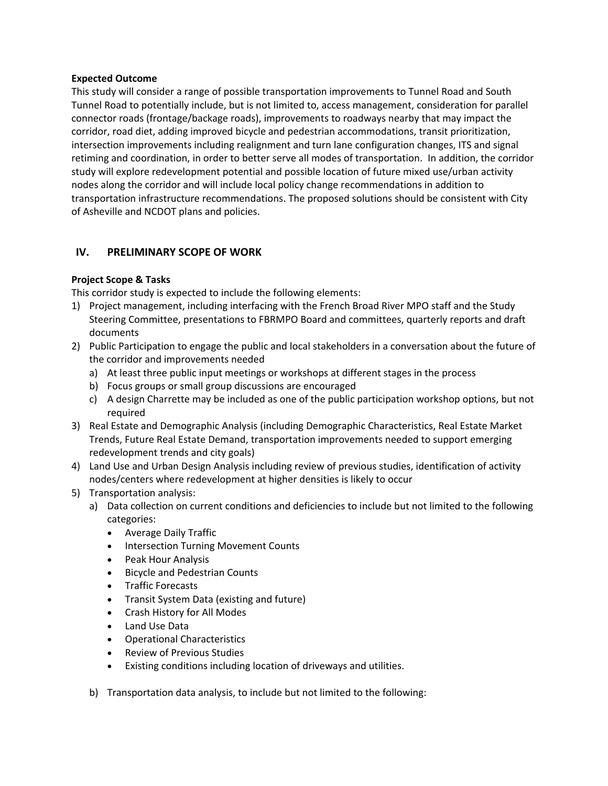#### **Expected Outcome**

This study will consider a range of possible transportation improvements to Tunnel Road and South Tunnel Road to potentially include, but is not limited to, access management, consideration for parallel connector roads (frontage/backage roads), improvements to roadways nearby that may impact the corridor, road diet, adding improved bicycle and pedestrian accommodations, transit prioritization, intersection improvements including realignment and turn lane configuration changes, ITS and signal retiming and coordination, in order to better serve all modes of transportation. In addition, the corridor study will explore redevelopment potential and possible location of future mixed use/urban activity nodes along the corridor and will include local policy change recommendations in addition to transportation infrastructure recommendations. The proposed solutions should be consistent with City of Asheville and NCDOT plans and policies.

## **IV. PRELIMINARY SCOPE OF WORK**

## **Project Scope & Tasks**

This corridor study is expected to include the following elements:

- 1) Project management, including interfacing with the French Broad River MPO staff and the Study Steering Committee, presentations to FBRMPO Board and committees, quarterly reports and draft documents
- 2) Public Participation to engage the public and local stakeholders in a conversation about the future of the corridor and improvements needed
	- a) At least three public input meetings or workshops at different stages in the process
	- b) Focus groups or small group discussions are encouraged
	- c) A design Charrette may be included as one of the public participation workshop options, but not required
- 3) Real Estate and Demographic Analysis (including Demographic Characteristics, Real Estate Market Trends, Future Real Estate Demand, transportation improvements needed to support emerging redevelopment trends and city goals)
- 4) Land Use and Urban Design Analysis including review of previous studies, identification of activity nodes/centers where redevelopment at higher densities is likely to occur
- 5) Transportation analysis:
	- a) Data collection on current conditions and deficiencies to include but not limited to the following categories:
		- Average Daily Traffic
		- Intersection Turning Movement Counts
		- Peak Hour Analysis
		- Bicycle and Pedestrian Counts
		- Traffic Forecasts
		- Transit System Data (existing and future)
		- Crash History for All Modes
		- Land Use Data
		- Operational Characteristics
		- Review of Previous Studies
		- Existing conditions including location of driveways and utilities.
	- b) Transportation data analysis, to include but not limited to the following: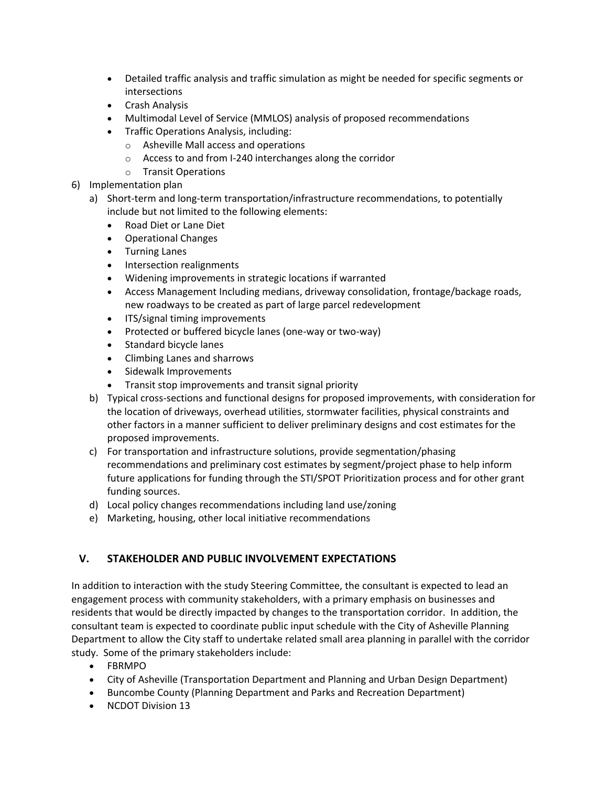- Detailed traffic analysis and traffic simulation as might be needed for specific segments or intersections
- Crash Analysis
- Multimodal Level of Service (MMLOS) analysis of proposed recommendations
- Traffic Operations Analysis, including:
	- o Asheville Mall access and operations
	- o Access to and from I-240 interchanges along the corridor
	- o Transit Operations
- 6) Implementation plan
	- a) Short-term and long-term transportation/infrastructure recommendations, to potentially include but not limited to the following elements:
		- Road Diet or Lane Diet
		- Operational Changes
		- Turning Lanes
		- Intersection realignments
		- Widening improvements in strategic locations if warranted
		- Access Management Including medians, driveway consolidation, frontage/backage roads, new roadways to be created as part of large parcel redevelopment
		- ITS/signal timing improvements
		- Protected or buffered bicycle lanes (one-way or two-way)
		- Standard bicycle lanes
		- Climbing Lanes and sharrows
		- Sidewalk Improvements
		- Transit stop improvements and transit signal priority
	- b) Typical cross-sections and functional designs for proposed improvements, with consideration for the location of driveways, overhead utilities, stormwater facilities, physical constraints and other factors in a manner sufficient to deliver preliminary designs and cost estimates for the proposed improvements.
	- c) For transportation and infrastructure solutions, provide segmentation/phasing recommendations and preliminary cost estimates by segment/project phase to help inform future applications for funding through the STI/SPOT Prioritization process and for other grant funding sources.
	- d) Local policy changes recommendations including land use/zoning
	- e) Marketing, housing, other local initiative recommendations

# **V. STAKEHOLDER AND PUBLIC INVOLVEMENT EXPECTATIONS**

In addition to interaction with the study Steering Committee, the consultant is expected to lead an engagement process with community stakeholders, with a primary emphasis on businesses and residents that would be directly impacted by changes to the transportation corridor. In addition, the consultant team is expected to coordinate public input schedule with the City of Asheville Planning Department to allow the City staff to undertake related small area planning in parallel with the corridor study. Some of the primary stakeholders include:

- FBRMPO
- City of Asheville (Transportation Department and Planning and Urban Design Department)
- Buncombe County (Planning Department and Parks and Recreation Department)
- NCDOT Division 13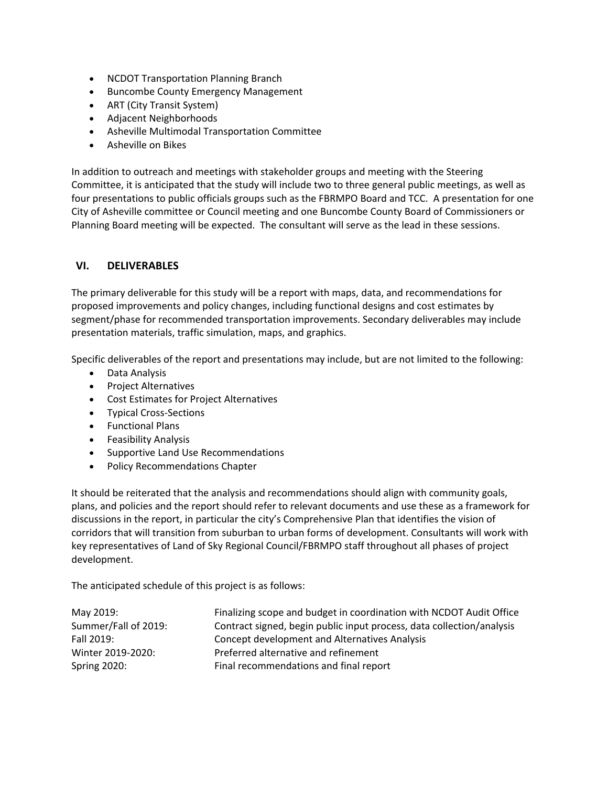- NCDOT Transportation Planning Branch
- Buncombe County Emergency Management
- ART (City Transit System)
- Adjacent Neighborhoods
- Asheville Multimodal Transportation Committee
- Asheville on Bikes

In addition to outreach and meetings with stakeholder groups and meeting with the Steering Committee, it is anticipated that the study will include two to three general public meetings, as well as four presentations to public officials groups such as the FBRMPO Board and TCC. A presentation for one City of Asheville committee or Council meeting and one Buncombe County Board of Commissioners or Planning Board meeting will be expected. The consultant will serve as the lead in these sessions.

## **VI. DELIVERABLES**

The primary deliverable for this study will be a report with maps, data, and recommendations for proposed improvements and policy changes, including functional designs and cost estimates by segment/phase for recommended transportation improvements. Secondary deliverables may include presentation materials, traffic simulation, maps, and graphics.

Specific deliverables of the report and presentations may include, but are not limited to the following:

- Data Analysis
- Project Alternatives
- Cost Estimates for Project Alternatives
- Typical Cross-Sections
- Functional Plans
- Feasibility Analysis
- Supportive Land Use Recommendations
- Policy Recommendations Chapter

It should be reiterated that the analysis and recommendations should align with community goals, plans, and policies and the report should refer to relevant documents and use these as a framework for discussions in the report, in particular the city's Comprehensive Plan that identifies the vision of corridors that will transition from suburban to urban forms of development. Consultants will work with key representatives of Land of Sky Regional Council/FBRMPO staff throughout all phases of project development.

The anticipated schedule of this project is as follows:

| May 2019:            | Finalizing scope and budget in coordination with NCDOT Audit Office   |
|----------------------|-----------------------------------------------------------------------|
| Summer/Fall of 2019: | Contract signed, begin public input process, data collection/analysis |
| Fall 2019:           | Concept development and Alternatives Analysis                         |
| Winter 2019-2020:    | Preferred alternative and refinement                                  |
| <b>Spring 2020:</b>  | Final recommendations and final report                                |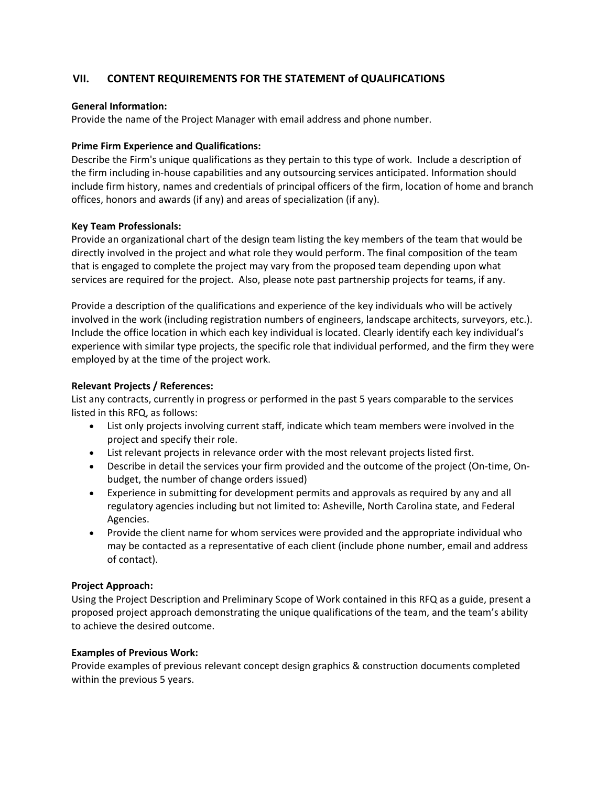# **VII. CONTENT REQUIREMENTS FOR THE STATEMENT of QUALIFICATIONS**

## **General Information:**

Provide the name of the Project Manager with email address and phone number.

#### **Prime Firm Experience and Qualifications:**

Describe the Firm's unique qualifications as they pertain to this type of work. Include a description of the firm including in‐house capabilities and any outsourcing services anticipated. Information should include firm history, names and credentials of principal officers of the firm, location of home and branch offices, honors and awards (if any) and areas of specialization (if any).

#### **Key Team Professionals:**

Provide an organizational chart of the design team listing the key members of the team that would be directly involved in the project and what role they would perform. The final composition of the team that is engaged to complete the project may vary from the proposed team depending upon what services are required for the project. Also, please note past partnership projects for teams, if any.

Provide a description of the qualifications and experience of the key individuals who will be actively involved in the work (including registration numbers of engineers, landscape architects, surveyors, etc.). Include the office location in which each key individual is located. Clearly identify each key individual's experience with similar type projects, the specific role that individual performed, and the firm they were employed by at the time of the project work.

## **Relevant Projects / References:**

List any contracts, currently in progress or performed in the past 5 years comparable to the services listed in this RFQ, as follows:

- List only projects involving current staff, indicate which team members were involved in the project and specify their role.
- List relevant projects in relevance order with the most relevant projects listed first.
- Describe in detail the services your firm provided and the outcome of the project (On-time, Onbudget, the number of change orders issued)
- Experience in submitting for development permits and approvals as required by any and all regulatory agencies including but not limited to: Asheville, North Carolina state, and Federal Agencies.
- Provide the client name for whom services were provided and the appropriate individual who may be contacted as a representative of each client (include phone number, email and address of contact).

#### **Project Approach:**

Using the Project Description and Preliminary Scope of Work contained in this RFQ as a guide, present a proposed project approach demonstrating the unique qualifications of the team, and the team's ability to achieve the desired outcome.

## **Examples of Previous Work:**

Provide examples of previous relevant concept design graphics & construction documents completed within the previous 5 years.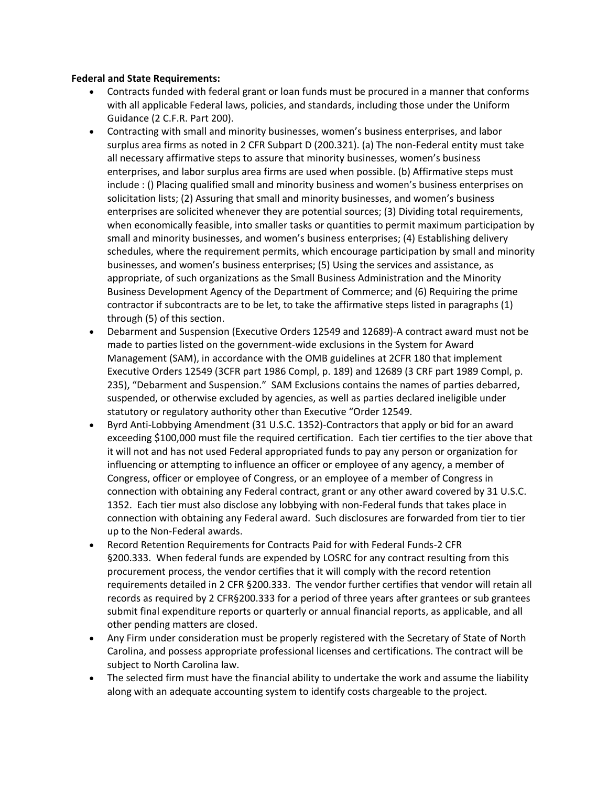## **Federal and State Requirements:**

- Contracts funded with federal grant or loan funds must be procured in a manner that conforms with all applicable Federal laws, policies, and standards, including those under the Uniform Guidance (2 C.F.R. Part 200).
- Contracting with small and minority businesses, women's business enterprises, and labor surplus area firms as noted in 2 CFR Subpart D (200.321). (a) The non-Federal entity must take all necessary affirmative steps to assure that minority businesses, women's business enterprises, and labor surplus area firms are used when possible. (b) Affirmative steps must include : () Placing qualified small and minority business and women's business enterprises on solicitation lists; (2) Assuring that small and minority businesses, and women's business enterprises are solicited whenever they are potential sources; (3) Dividing total requirements, when economically feasible, into smaller tasks or quantities to permit maximum participation by small and minority businesses, and women's business enterprises; (4) Establishing delivery schedules, where the requirement permits, which encourage participation by small and minority businesses, and women's business enterprises; (5) Using the services and assistance, as appropriate, of such organizations as the Small Business Administration and the Minority Business Development Agency of the Department of Commerce; and (6) Requiring the prime contractor if subcontracts are to be let, to take the affirmative steps listed in paragraphs (1) through (5) of this section.
- Debarment and Suspension (Executive Orders 12549 and 12689)-A contract award must not be made to parties listed on the government-wide exclusions in the System for Award Management (SAM), in accordance with the OMB guidelines at 2CFR 180 that implement Executive Orders 12549 (3CFR part 1986 Compl, p. 189) and 12689 (3 CRF part 1989 Compl, p. 235), "Debarment and Suspension." SAM Exclusions contains the names of parties debarred, suspended, or otherwise excluded by agencies, as well as parties declared ineligible under statutory or regulatory authority other than Executive "Order 12549.
- Byrd Anti-Lobbying Amendment (31 U.S.C. 1352)-Contractors that apply or bid for an award exceeding \$100,000 must file the required certification. Each tier certifies to the tier above that it will not and has not used Federal appropriated funds to pay any person or organization for influencing or attempting to influence an officer or employee of any agency, a member of Congress, officer or employee of Congress, or an employee of a member of Congress in connection with obtaining any Federal contract, grant or any other award covered by 31 U.S.C. 1352. Each tier must also disclose any lobbying with non-Federal funds that takes place in connection with obtaining any Federal award. Such disclosures are forwarded from tier to tier up to the Non-Federal awards.
- Record Retention Requirements for Contracts Paid for with Federal Funds-2 CFR §200.333. When federal funds are expended by LOSRC for any contract resulting from this procurement process, the vendor certifies that it will comply with the record retention requirements detailed in 2 CFR §200.333. The vendor further certifies that vendor will retain all records as required by 2 CFR§200.333 for a period of three years after grantees or sub grantees submit final expenditure reports or quarterly or annual financial reports, as applicable, and all other pending matters are closed.
- Any Firm under consideration must be properly registered with the Secretary of State of North Carolina, and possess appropriate professional licenses and certifications. The contract will be subject to North Carolina law.
- The selected firm must have the financial ability to undertake the work and assume the liability along with an adequate accounting system to identify costs chargeable to the project.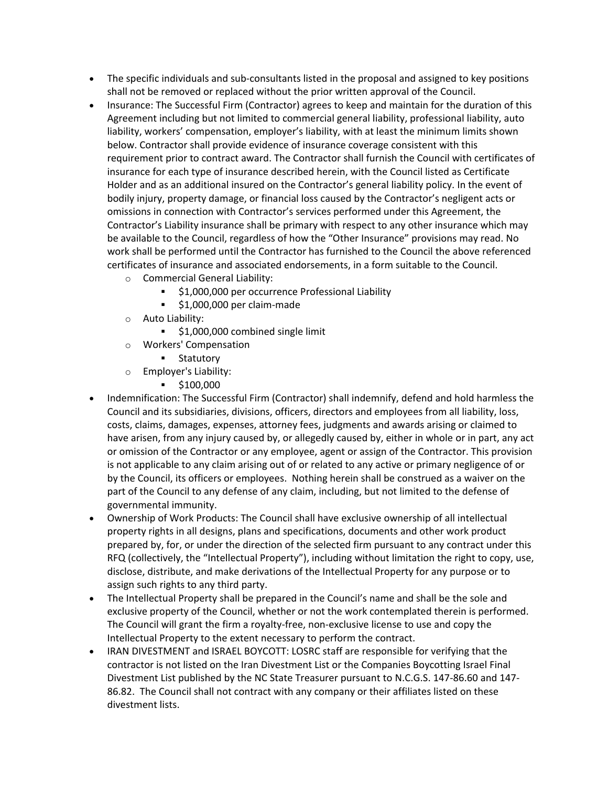- The specific individuals and sub-consultants listed in the proposal and assigned to key positions shall not be removed or replaced without the prior written approval of the Council.
- Insurance: The Successful Firm (Contractor) agrees to keep and maintain for the duration of this Agreement including but not limited to commercial general liability, professional liability, auto liability, workers' compensation, employer's liability, with at least the minimum limits shown below. Contractor shall provide evidence of insurance coverage consistent with this requirement prior to contract award. The Contractor shall furnish the Council with certificates of insurance for each type of insurance described herein, with the Council listed as Certificate Holder and as an additional insured on the Contractor's general liability policy. In the event of bodily injury, property damage, or financial loss caused by the Contractor's negligent acts or omissions in connection with Contractor's services performed under this Agreement, the Contractor's Liability insurance shall be primary with respect to any other insurance which may be available to the Council, regardless of how the "Other Insurance" provisions may read. No work shall be performed until the Contractor has furnished to the Council the above referenced certificates of insurance and associated endorsements, in a form suitable to the Council.
	- o Commercial General Liability:
		- \$1,000,000 per occurrence Professional Liability
		- \$1,000,000 per claim‐made
	- o Auto Liability:
		- **51,000,000 combined single limit**
	- o Workers' Compensation
		- **Statutory**
	- o Employer's Liability:
		- $\bullet$  \$100,000
- Indemnification: The Successful Firm (Contractor) shall indemnify, defend and hold harmless the Council and its subsidiaries, divisions, officers, directors and employees from all liability, loss, costs, claims, damages, expenses, attorney fees, judgments and awards arising or claimed to have arisen, from any injury caused by, or allegedly caused by, either in whole or in part, any act or omission of the Contractor or any employee, agent or assign of the Contractor. This provision is not applicable to any claim arising out of or related to any active or primary negligence of or by the Council, its officers or employees. Nothing herein shall be construed as a waiver on the part of the Council to any defense of any claim, including, but not limited to the defense of governmental immunity.
- Ownership of Work Products: The Council shall have exclusive ownership of all intellectual property rights in all designs, plans and specifications, documents and other work product prepared by, for, or under the direction of the selected firm pursuant to any contract under this RFQ (collectively, the "Intellectual Property"), including without limitation the right to copy, use, disclose, distribute, and make derivations of the Intellectual Property for any purpose or to assign such rights to any third party.
- The Intellectual Property shall be prepared in the Council's name and shall be the sole and exclusive property of the Council, whether or not the work contemplated therein is performed. The Council will grant the firm a royalty‐free, non‐exclusive license to use and copy the Intellectual Property to the extent necessary to perform the contract.
- IRAN DIVESTMENT and ISRAEL BOYCOTT: LOSRC staff are responsible for verifying that the contractor is not listed on the Iran Divestment List or the Companies Boycotting Israel Final Divestment List published by the NC State Treasurer pursuant to N.C.G.S. 147-86.60 and 147- 86.82. The Council shall not contract with any company or their affiliates listed on these divestment lists.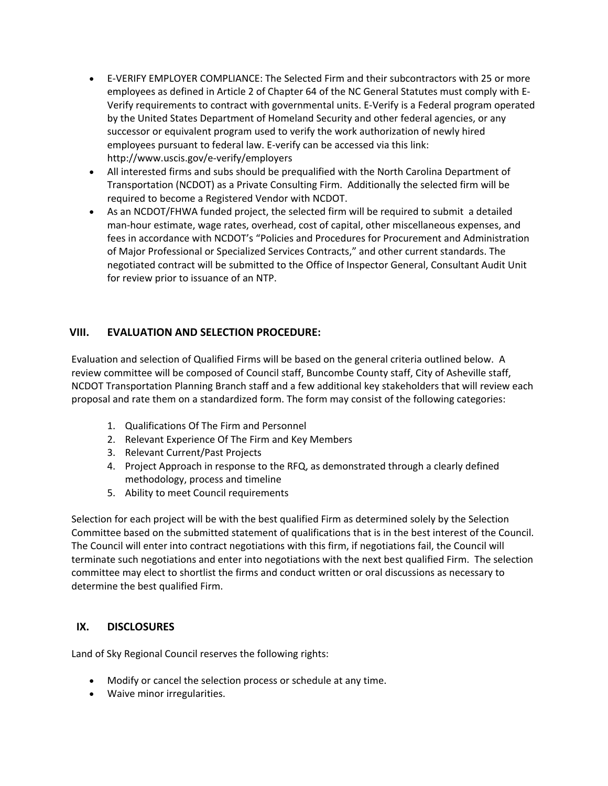- E‐VERIFY EMPLOYER COMPLIANCE: The Selected Firm and their subcontractors with 25 or more employees as defined in Article 2 of Chapter 64 of the NC General Statutes must comply with E‐ Verify requirements to contract with governmental units. E‐Verify is a Federal program operated by the United States Department of Homeland Security and other federal agencies, or any successor or equivalent program used to verify the work authorization of newly hired employees pursuant to federal law. E‐verify can be accessed via this link: <http://www.uscis.gov/e>‐verify/employers
- All interested firms and subs should be prequalified with the North Carolina Department of Transportation (NCDOT) as a Private Consulting Firm. Additionally the selected firm will be required to become a Registered Vendor with NCDOT.
- As an NCDOT/FHWA funded project, the selected firm will be required to submit a detailed man-hour estimate, wage rates, overhead, cost of capital, other miscellaneous expenses, and fees in accordance with NCDOT's "Policies and Procedures for Procurement and Administration of Major Professional or Specialized Services Contracts," and other current standards. The negotiated contract will be submitted to the Office of Inspector General, Consultant Audit Unit for review prior to issuance of an NTP.

# **VIII. EVALUATION AND SELECTION PROCEDURE:**

Evaluation and selection of Qualified Firms will be based on the general criteria outlined below. A review committee will be composed of Council staff, Buncombe County staff, City of Asheville staff, NCDOT Transportation Planning Branch staff and a few additional key stakeholders that will review each proposal and rate them on a standardized form. The form may consist of the following categories:

- 1. Qualifications Of The Firm and Personnel
- 2. Relevant Experience Of The Firm and Key Members
- 3. Relevant Current/Past Projects
- 4. Project Approach in response to the RFQ, as demonstrated through a clearly defined methodology, process and timeline
- 5. Ability to meet Council requirements

Selection for each project will be with the best qualified Firm as determined solely by the Selection Committee based on the submitted statement of qualifications that is in the best interest of the Council. The Council will enter into contract negotiations with this firm, if negotiations fail, the Council will terminate such negotiations and enter into negotiations with the next best qualified Firm. The selection committee may elect to shortlist the firms and conduct written or oral discussions as necessary to determine the best qualified Firm.

# **IX. DISCLOSURES**

Land of Sky Regional Council reserves the following rights:

- Modify or cancel the selection process or schedule at any time.
- Waive minor irregularities.